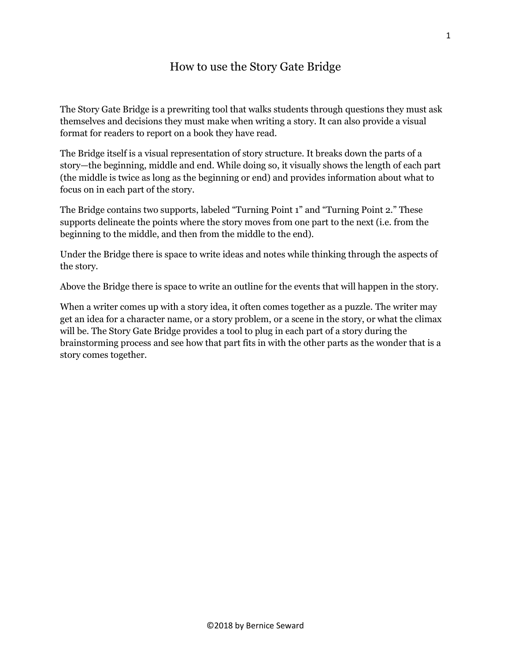# How to use the Story Gate Bridge

The Story Gate Bridge is a prewriting tool that walks students through questions they must ask themselves and decisions they must make when writing a story. It can also provide a visual format for readers to report on a book they have read.

The Bridge itself is a visual representation of story structure. It breaks down the parts of a story—the beginning, middle and end. While doing so, it visually shows the length of each part (the middle is twice as long as the beginning or end) and provides information about what to focus on in each part of the story.

The Bridge contains two supports, labeled "Turning Point 1" and "Turning Point 2." These supports delineate the points where the story moves from one part to the next (i.e. from the beginning to the middle, and then from the middle to the end).

Under the Bridge there is space to write ideas and notes while thinking through the aspects of the story.

Above the Bridge there is space to write an outline for the events that will happen in the story.

When a writer comes up with a story idea, it often comes together as a puzzle. The writer may get an idea for a character name, or a story problem, or a scene in the story, or what the climax will be. The Story Gate Bridge provides a tool to plug in each part of a story during the brainstorming process and see how that part fits in with the other parts as the wonder that is a story comes together.